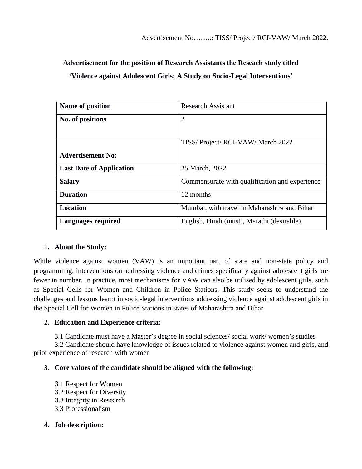# **Advertisement for the position of Research Assistants the Reseach study titled 'Violence against Adolescent Girls: A Study on Socio-Legal Interventions'**

| Name of position                | <b>Research Assistant</b>                      |
|---------------------------------|------------------------------------------------|
| No. of positions                | $\overline{2}$                                 |
|                                 | TISS/ Project/ RCI-VAW/ March 2022             |
| <b>Advertisement No:</b>        |                                                |
| <b>Last Date of Application</b> | 25 March, 2022                                 |
| <b>Salary</b>                   | Commensurate with qualification and experience |
| <b>Duration</b>                 | 12 months                                      |
| <b>Location</b>                 | Mumbai, with travel in Maharashtra and Bihar   |
| <b>Languages required</b>       | English, Hindi (must), Marathi (desirable)     |

### **1. About the Study:**

While violence against women (VAW) is an important part of state and non-state policy and programming, interventions on addressing violence and crimes specifically against adolescent girls are fewer in number. In practice, most mechanisms for VAW can also be utilised by adolescent girls, such as Special Cells for Women and Children in Police Stations. This study seeks to understand the challenges and lessons learnt in socio-legal interventions addressing violence against adolescent girls in the Special Cell for Women in Police Stations in states of Maharashtra and Bihar.

### **2. Education and Experience criteria:**

3.1 Candidate must have a Master's degree in social sciences/ social work/ women's studies

3.2 Candidate should have knowledge of issues related to violence against women and girls, and prior experience of research with women

### **3. Core values of the candidate should be aligned with the following:**

3.1 Respect for Women 3.2 Respect for Diversity 3.3 Integrity in Research 3.3 Professionalism

## **4. Job description:**